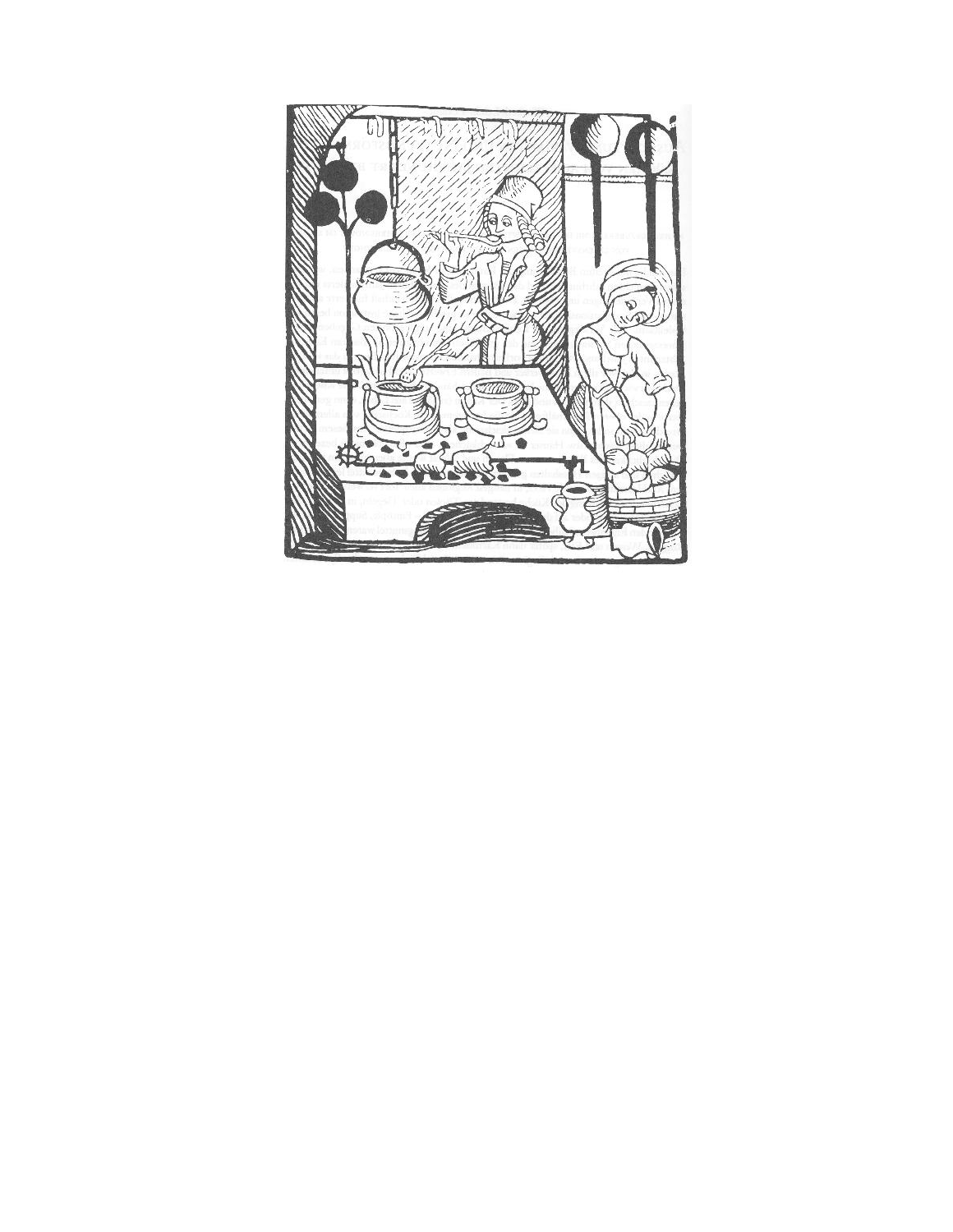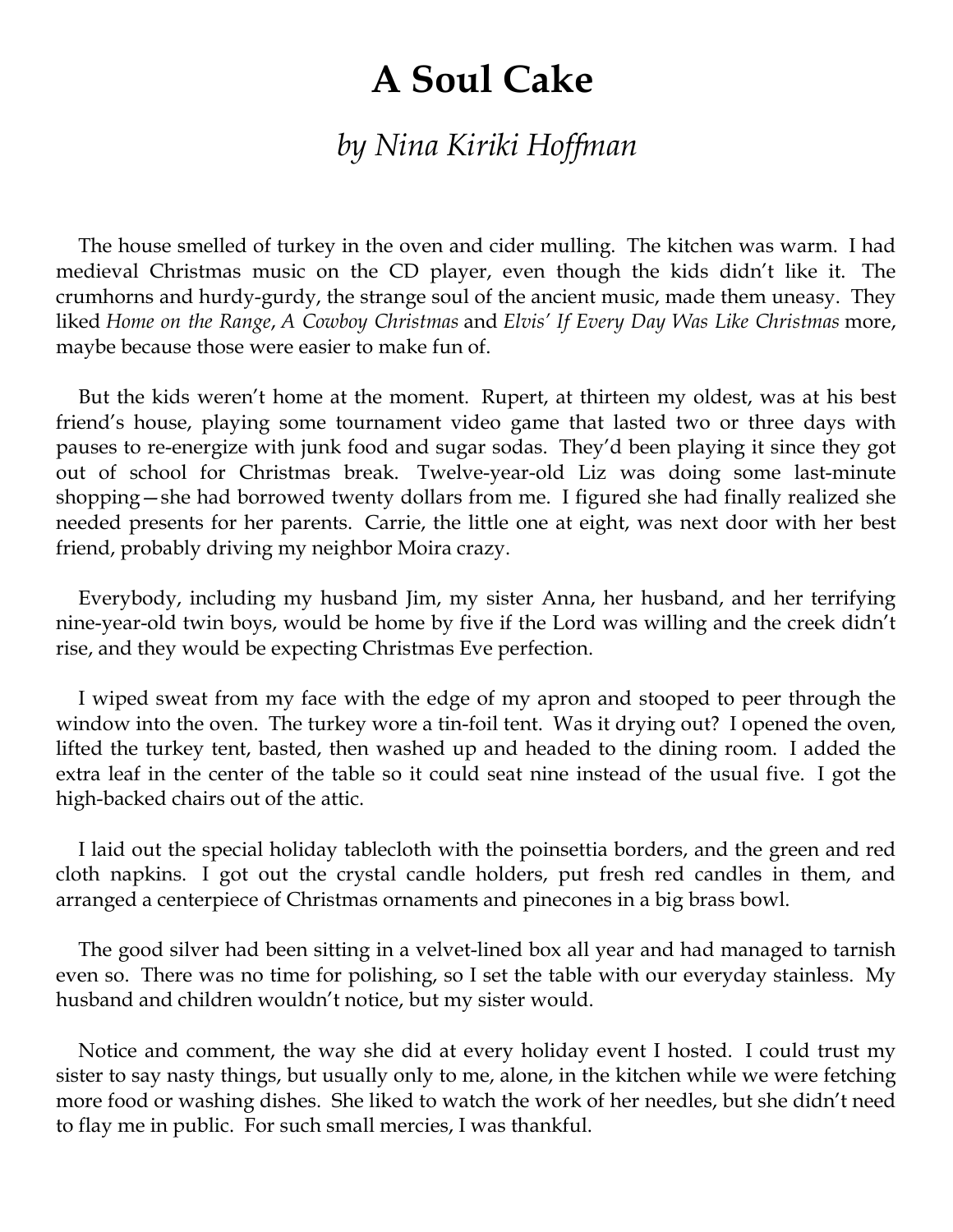## **A Soul Cake**

## *by Nina Kiriki Hoffman*

The house smelled of turkey in the oven and cider mulling. The kitchen was warm. I had medieval Christmas music on the CD player, even though the kids didn't like it. The crumhorns and hurdy-gurdy, the strange soul of the ancient music, made them uneasy. They liked *Home on the Range*, *A Cowboy Christmas* and *Elvis' If Every Day Was Like Christmas* more, maybe because those were easier to make fun of.

But the kids weren't home at the moment. Rupert, at thirteen my oldest, was at his best friend's house, playing some tournament video game that lasted two or three days with pauses to re-energize with junk food and sugar sodas. They'd been playing it since they got out of school for Christmas break. Twelve-year-old Liz was doing some last-minute shopping—she had borrowed twenty dollars from me. I figured she had finally realized she needed presents for her parents. Carrie, the little one at eight, was next door with her best friend, probably driving my neighbor Moira crazy.

Everybody, including my husband Jim, my sister Anna, her husband, and her terrifying nine-year-old twin boys, would be home by five if the Lord was willing and the creek didn't rise, and they would be expecting Christmas Eve perfection.

I wiped sweat from my face with the edge of my apron and stooped to peer through the window into the oven. The turkey wore a tin-foil tent. Was it drying out? I opened the oven, lifted the turkey tent, basted, then washed up and headed to the dining room. I added the extra leaf in the center of the table so it could seat nine instead of the usual five. I got the high-backed chairs out of the attic.

I laid out the special holiday tablecloth with the poinsettia borders, and the green and red cloth napkins. I got out the crystal candle holders, put fresh red candles in them, and arranged a centerpiece of Christmas ornaments and pinecones in a big brass bowl.

The good silver had been sitting in a velvet-lined box all year and had managed to tarnish even so. There was no time for polishing, so I set the table with our everyday stainless. My husband and children wouldn't notice, but my sister would.

Notice and comment, the way she did at every holiday event I hosted. I could trust my sister to say nasty things, but usually only to me, alone, in the kitchen while we were fetching more food or washing dishes. She liked to watch the work of her needles, but she didn't need to flay me in public. For such small mercies, I was thankful.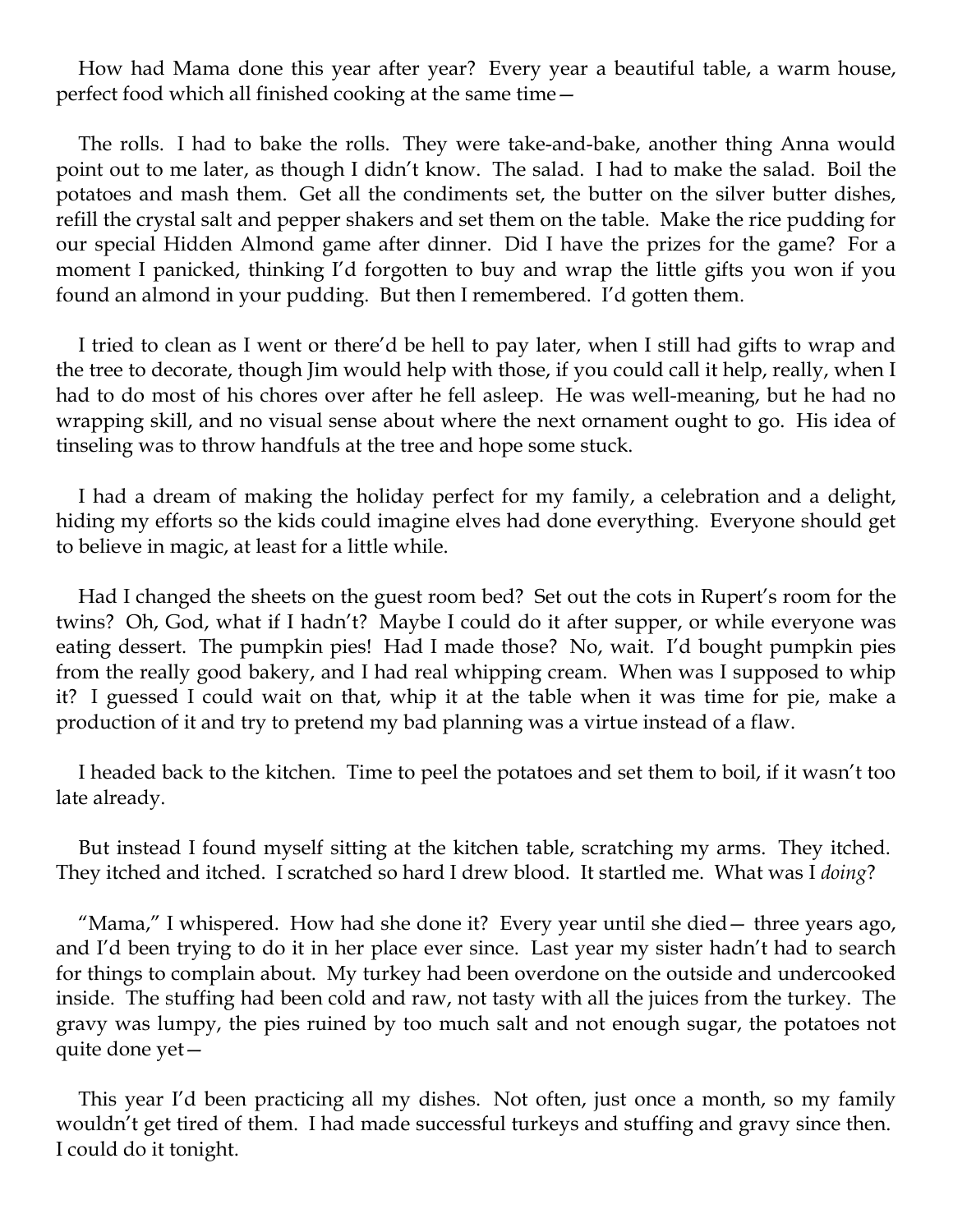How had Mama done this year after year? Every year a beautiful table, a warm house, perfect food which all finished cooking at the same time—

The rolls. I had to bake the rolls. They were take-and-bake, another thing Anna would point out to me later, as though I didn't know. The salad. I had to make the salad. Boil the potatoes and mash them. Get all the condiments set, the butter on the silver butter dishes, refill the crystal salt and pepper shakers and set them on the table. Make the rice pudding for our special Hidden Almond game after dinner. Did I have the prizes for the game? For a moment I panicked, thinking I'd forgotten to buy and wrap the little gifts you won if you found an almond in your pudding. But then I remembered. I'd gotten them.

I tried to clean as I went or there'd be hell to pay later, when I still had gifts to wrap and the tree to decorate, though Jim would help with those, if you could call it help, really, when I had to do most of his chores over after he fell asleep. He was well-meaning, but he had no wrapping skill, and no visual sense about where the next ornament ought to go. His idea of tinseling was to throw handfuls at the tree and hope some stuck.

I had a dream of making the holiday perfect for my family, a celebration and a delight, hiding my efforts so the kids could imagine elves had done everything. Everyone should get to believe in magic, at least for a little while.

Had I changed the sheets on the guest room bed? Set out the cots in Rupert's room for the twins? Oh, God, what if I hadn't? Maybe I could do it after supper, or while everyone was eating dessert. The pumpkin pies! Had I made those? No, wait. I'd bought pumpkin pies from the really good bakery, and I had real whipping cream. When was I supposed to whip it? I guessed I could wait on that, whip it at the table when it was time for pie, make a production of it and try to pretend my bad planning was a virtue instead of a flaw.

I headed back to the kitchen. Time to peel the potatoes and set them to boil, if it wasn't too late already.

But instead I found myself sitting at the kitchen table, scratching my arms. They itched. They itched and itched. I scratched so hard I drew blood. It startled me. What was I *doing*?

"Mama," I whispered. How had she done it? Every year until she died— three years ago, and I'd been trying to do it in her place ever since. Last year my sister hadn't had to search for things to complain about. My turkey had been overdone on the outside and undercooked inside. The stuffing had been cold and raw, not tasty with all the juices from the turkey. The gravy was lumpy, the pies ruined by too much salt and not enough sugar, the potatoes not quite done yet—

This year I'd been practicing all my dishes. Not often, just once a month, so my family wouldn't get tired of them. I had made successful turkeys and stuffing and gravy since then. I could do it tonight.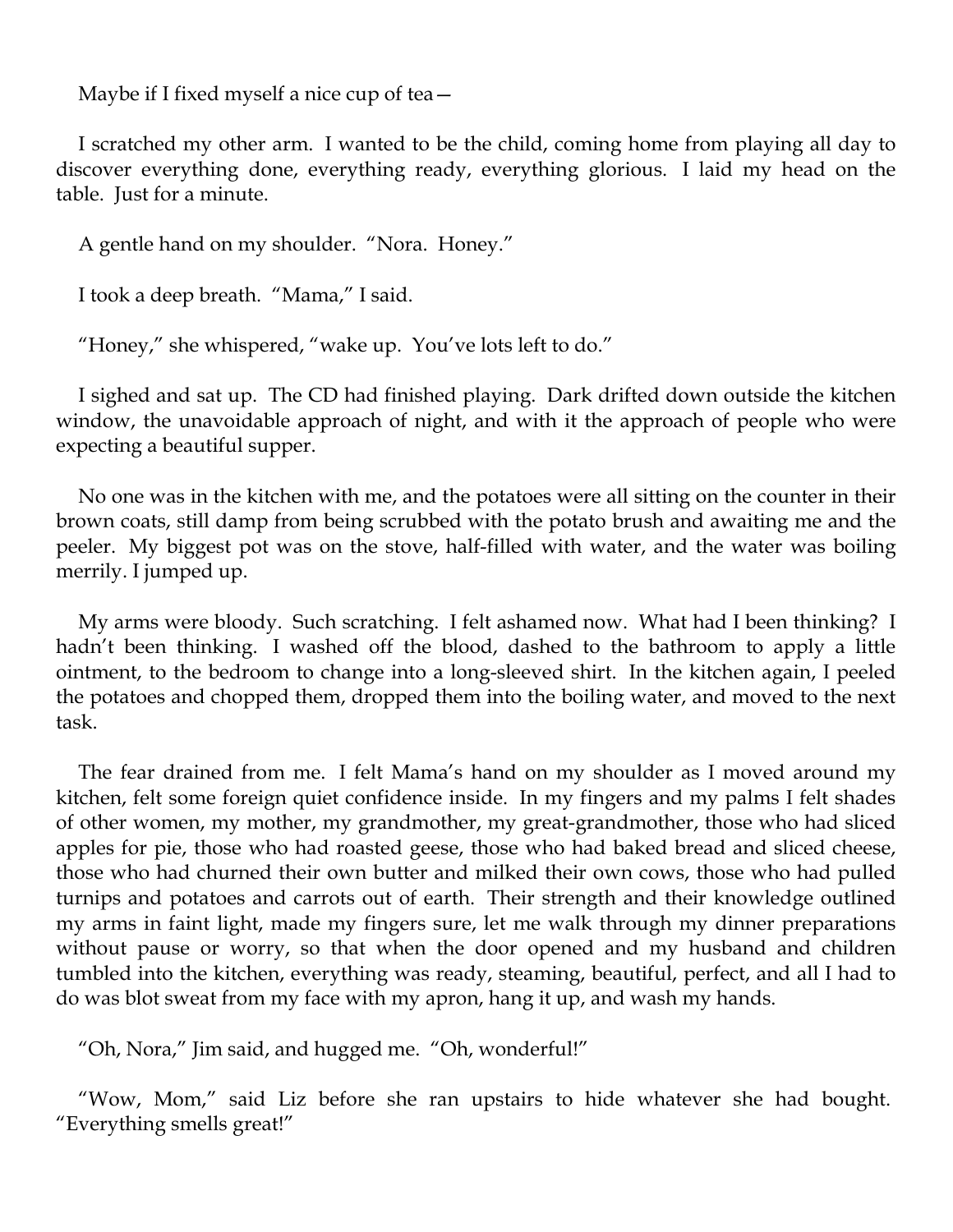Maybe if I fixed myself a nice cup of tea—

I scratched my other arm. I wanted to be the child, coming home from playing all day to discover everything done, everything ready, everything glorious. I laid my head on the table. Just for a minute.

A gentle hand on my shoulder. "Nora. Honey."

I took a deep breath. "Mama," I said.

"Honey," she whispered, "wake up. You've lots left to do."

I sighed and sat up. The CD had finished playing. Dark drifted down outside the kitchen window, the unavoidable approach of night, and with it the approach of people who were expecting a beautiful supper.

No one was in the kitchen with me, and the potatoes were all sitting on the counter in their brown coats, still damp from being scrubbed with the potato brush and awaiting me and the peeler. My biggest pot was on the stove, half-filled with water, and the water was boiling merrily. I jumped up.

My arms were bloody. Such scratching. I felt ashamed now. What had I been thinking? I hadn't been thinking. I washed off the blood, dashed to the bathroom to apply a little ointment, to the bedroom to change into a long-sleeved shirt. In the kitchen again, I peeled the potatoes and chopped them, dropped them into the boiling water, and moved to the next task.

The fear drained from me. I felt Mama's hand on my shoulder as I moved around my kitchen, felt some foreign quiet confidence inside. In my fingers and my palms I felt shades of other women, my mother, my grandmother, my great-grandmother, those who had sliced apples for pie, those who had roasted geese, those who had baked bread and sliced cheese, those who had churned their own butter and milked their own cows, those who had pulled turnips and potatoes and carrots out of earth. Their strength and their knowledge outlined my arms in faint light, made my fingers sure, let me walk through my dinner preparations without pause or worry, so that when the door opened and my husband and children tumbled into the kitchen, everything was ready, steaming, beautiful, perfect, and all I had to do was blot sweat from my face with my apron, hang it up, and wash my hands.

"Oh, Nora," Jim said, and hugged me. "Oh, wonderful!"

"Wow, Mom," said Liz before she ran upstairs to hide whatever she had bought. "Everything smells great!"